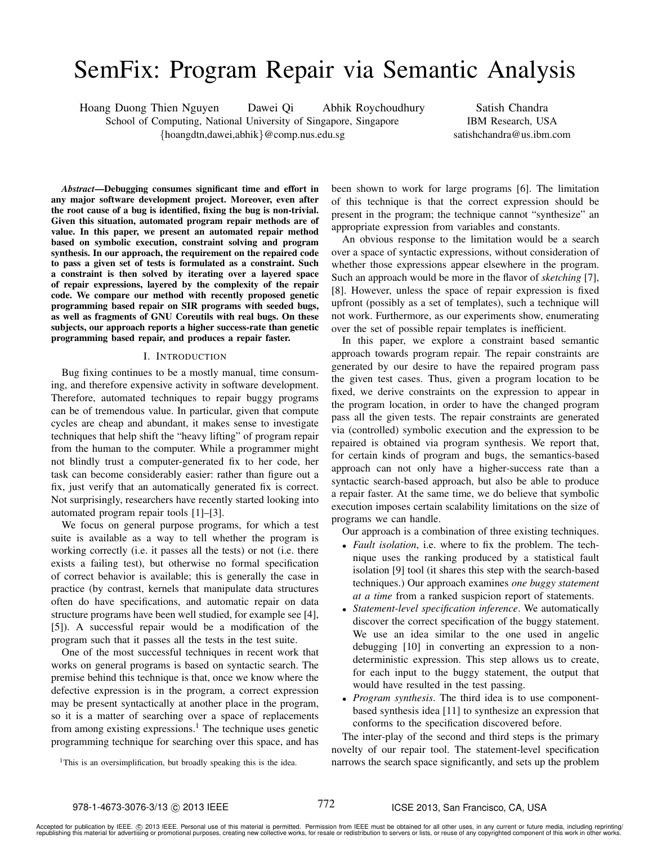# SemFix: Program Repair via Semantic Analysis

Hoang Duong Thien Nguyen Dawei Qi Abhik Roychoudhury

School of Computing, National University of Singapore, Singapore {hoangdtn,dawei,abhik}@comp.nus.edu.sg

Satish Chandra IBM Research, USA satishchandra@us.ibm.com

*Abstract*—Debugging consumes significant time and effort in any major software development project. Moreover, even after the root cause of a bug is identified, fixing the bug is non-trivial. Given this situation, automated program repair methods are of value. In this paper, we present an automated repair method based on symbolic execution, constraint solving and program synthesis. In our approach, the requirement on the repaired code to pass a given set of tests is formulated as a constraint. Such a constraint is then solved by iterating over a layered space of repair expressions, layered by the complexity of the repair code. We compare our method with recently proposed genetic programming based repair on SIR programs with seeded bugs, as well as fragments of GNU Coreutils with real bugs. On these subjects, our approach reports a higher success-rate than genetic programming based repair, and produces a repair faster.

## I. INTRODUCTION

Bug fixing continues to be a mostly manual, time consuming, and therefore expensive activity in software development. Therefore, automated techniques to repair buggy programs can be of tremendous value. In particular, given that compute cycles are cheap and abundant, it makes sense to investigate techniques that help shift the "heavy lifting" of program repair from the human to the computer. While a programmer might not blindly trust a computer-generated fix to her code, her task can become considerably easier: rather than figure out a fix, just verify that an automatically generated fix is correct. Not surprisingly, researchers have recently started looking into automated program repair tools [1]–[3].

We focus on general purpose programs, for which a test suite is available as a way to tell whether the program is working correctly (i.e. it passes all the tests) or not (i.e. there exists a failing test), but otherwise no formal specification of correct behavior is available; this is generally the case in practice (by contrast, kernels that manipulate data structures often do have specifications, and automatic repair on data structure programs have been well studied, for example see [4], [5]). A successful repair would be a modification of the program such that it passes all the tests in the test suite.

One of the most successful techniques in recent work that works on general programs is based on syntactic search. The premise behind this technique is that, once we know where the defective expression is in the program, a correct expression may be present syntactically at another place in the program, so it is a matter of searching over a space of replacements from among existing expressions.<sup>1</sup> The technique uses genetic programming technique for searching over this space, and has been shown to work for large programs [6]. The limitation of this technique is that the correct expression should be present in the program; the technique cannot "synthesize" an appropriate expression from variables and constants.

An obvious response to the limitation would be a search over a space of syntactic expressions, without consideration of whether those expressions appear elsewhere in the program. Such an approach would be more in the flavor of *sketching* [7], [8]. However, unless the space of repair expression is fixed upfront (possibly as a set of templates), such a technique will not work. Furthermore, as our experiments show, enumerating over the set of possible repair templates is inefficient.

In this paper, we explore a constraint based semantic approach towards program repair. The repair constraints are generated by our desire to have the repaired program pass the given test cases. Thus, given a program location to be fixed, we derive constraints on the expression to appear in the program location, in order to have the changed program pass all the given tests. The repair constraints are generated via (controlled) symbolic execution and the expression to be repaired is obtained via program synthesis. We report that, for certain kinds of program and bugs, the semantics-based approach can not only have a higher-success rate than a syntactic search-based approach, but also be able to produce a repair faster. At the same time, we do believe that symbolic execution imposes certain scalability limitations on the size of programs we can handle.

Our approach is a combination of three existing techniques.

- *Fault isolation*, i.e. where to fix the problem. The technique uses the ranking produced by a statistical fault isolation [9] tool (it shares this step with the search-based techniques.) Our approach examines *one buggy statement at a time* from a ranked suspicion report of statements.
- *Statement-level specification inference*. We automatically discover the correct specification of the buggy statement. We use an idea similar to the one used in angelic debugging [10] in converting an expression to a nondeterministic expression. This step allows us to create, for each input to the buggy statement, the output that would have resulted in the test passing.
- *Program synthesis*. The third idea is to use componentbased synthesis idea [11] to synthesize an expression that conforms to the specification discovered before.

The inter-play of the second and third steps is the primary novelty of our repair tool. The statement-level specification narrows the search space significantly, and sets up the problem

<sup>&</sup>lt;sup>1</sup>This is an oversimplification, but broadly speaking this is the idea.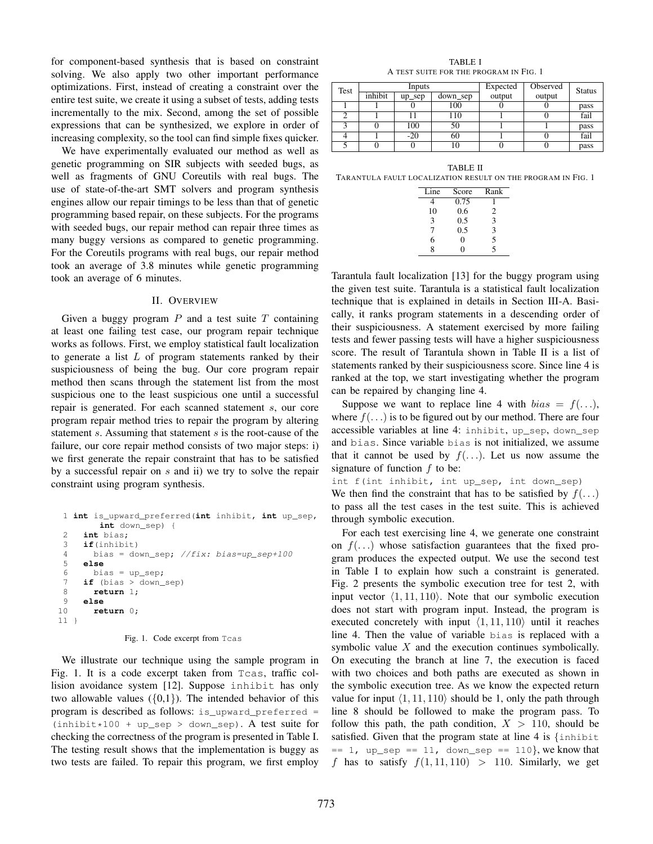for component-based synthesis that is based on constraint solving. We also apply two other important performance optimizations. First, instead of creating a constraint over the entire test suite, we create it using a subset of tests, adding tests incrementally to the mix. Second, among the set of possible expressions that can be synthesized, we explore in order of increasing complexity, so the tool can find simple fixes quicker.

We have experimentally evaluated our method as well as genetic programming on SIR subjects with seeded bugs, as well as fragments of GNU Coreutils with real bugs. The use of state-of-the-art SMT solvers and program synthesis engines allow our repair timings to be less than that of genetic programming based repair, on these subjects. For the programs with seeded bugs, our repair method can repair three times as many buggy versions as compared to genetic programming. For the Coreutils programs with real bugs, our repair method took an average of 3.8 minutes while genetic programming took an average of 6 minutes.

### II. OVERVIEW

Given a buggy program  $P$  and a test suite  $T$  containing at least one failing test case, our program repair technique works as follows. First, we employ statistical fault localization to generate a list  $L$  of program statements ranked by their suspiciousness of being the bug. Our core program repair method then scans through the statement list from the most suspicious one to the least suspicious one until a successful repair is generated. For each scanned statement s, our core program repair method tries to repair the program by altering statement s. Assuming that statement s is the root-cause of the failure, our core repair method consists of two major steps: i) we first generate the repair constraint that has to be satisfied by a successful repair on s and ii) we try to solve the repair constraint using program synthesis.

```
1 int is_upward_preferred(int inhibit, int up_sep,
       int down_sep) {
2 int bias;
3 if(inhibit)
 4 bias = down sep; //fix: bias=up sep+1005 else
 6 bias = up_sep;
 7 if (bias > down_sep)
8 return 1;
 9 else
10 return 0;
11 }
```
Fig. 1. Code excerpt from Tcas

We illustrate our technique using the sample program in Fig. 1. It is a code excerpt taken from Tcas, traffic collision avoidance system [12]. Suppose inhibit has only two allowable values  $({0,1})$ . The intended behavior of this program is described as follows: is\_upward\_preferred =  $(inhibit*100 + up\_sep > down\_sep)$ . A test suite for checking the correctness of the program is presented in Table I. The testing result shows that the implementation is buggy as two tests are failed. To repair this program, we first employ

TABLE I A TEST SUITE FOR THE PROGRAM IN FIG. 1

| Test |         | Inputs    |          | Expected | Observed | <b>Status</b> |
|------|---------|-----------|----------|----------|----------|---------------|
|      | inhibit | $up\_sep$ | down_sep | output   | output   |               |
|      |         |           | 100      |          |          | pass          |
|      |         |           | 110      |          |          | fail          |
|      |         | 100       | 50       |          |          | pass          |
|      |         | $-20$     | 60       |          |          | fail          |
|      |         |           | 10       |          |          | pass          |

TABLE II TARANTULA FAULT LOCALIZATION RESULT ON THE PROGRAM IN FIG. 1

| Line           | Score | Rank           |
|----------------|-------|----------------|
|                | 0.75  |                |
| 10             | 0.6   | 2              |
| 3              | 0.5   | 3              |
| 7              | 0.5   | 3              |
| 6              | 0     | $\overline{5}$ |
| $\overline{8}$ | 0     | 5              |

Tarantula fault localization [13] for the buggy program using the given test suite. Tarantula is a statistical fault localization technique that is explained in details in Section III-A. Basically, it ranks program statements in a descending order of their suspiciousness. A statement exercised by more failing tests and fewer passing tests will have a higher suspiciousness score. The result of Tarantula shown in Table II is a list of statements ranked by their suspiciousness score. Since line 4 is ranked at the top, we start investigating whether the program can be repaired by changing line 4.

Suppose we want to replace line 4 with  $bias = f(...)$ , where  $f(\ldots)$  is to be figured out by our method. There are four accessible variables at line 4: inhibit, up\_sep, down\_sep and bias. Since variable bias is not initialized, we assume that it cannot be used by  $f(\ldots)$ . Let us now assume the signature of function  $f$  to be:

int f(int inhibit, int up\_sep, int down\_sep) We then find the constraint that has to be satisfied by  $f(\ldots)$ to pass all the test cases in the test suite. This is achieved through symbolic execution.

For each test exercising line 4, we generate one constraint on  $f(\ldots)$  whose satisfaction guarantees that the fixed program produces the expected output. We use the second test in Table I to explain how such a constraint is generated. Fig. 2 presents the symbolic execution tree for test 2, with input vector  $\langle 1, 11, 110 \rangle$ . Note that our symbolic execution does not start with program input. Instead, the program is executed concretely with input  $\langle 1, 11, 110 \rangle$  until it reaches line 4. Then the value of variable bias is replaced with a symbolic value X and the execution continues symbolically. On executing the branch at line 7, the execution is faced with two choices and both paths are executed as shown in the symbolic execution tree. As we know the expected return value for input  $\langle 1, 11, 110 \rangle$  should be 1, only the path through line 8 should be followed to make the program pass. To follow this path, the path condition,  $X > 110$ , should be satisfied. Given that the program state at line 4 is  $\{\text{inhibit}\}$  $= 1$ , up\_sep  $= 11$ , down\_sep  $= 110$ , we know that f has to satisfy  $f(1, 11, 110) > 110$ . Similarly, we get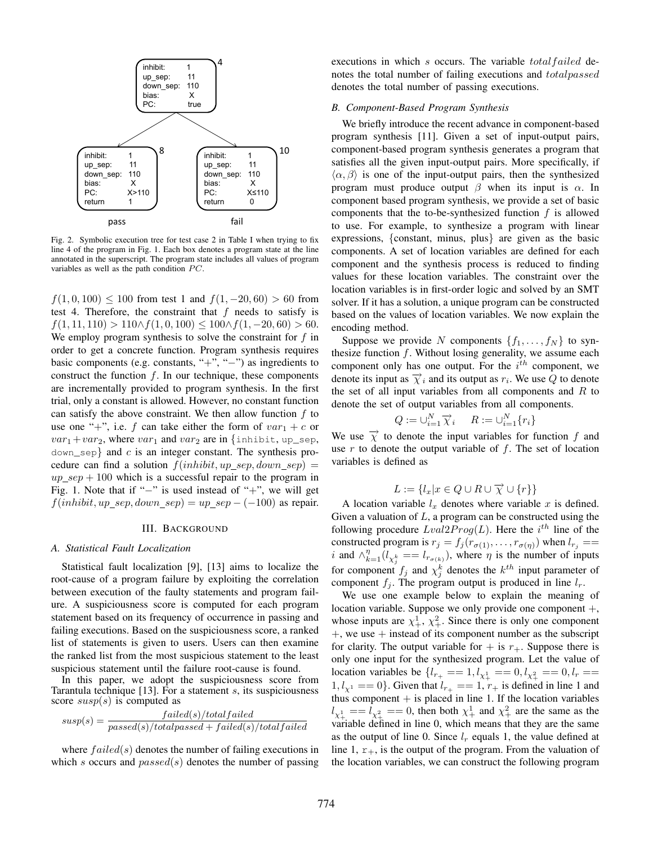

Fig. 2. Symbolic execution tree for test case 2 in Table I when trying to fix line 4 of the program in Fig. 1. Each box denotes a program state at the line annotated in the superscript. The program state includes all values of program variables as well as the path condition  $PC$ .

 $f(1, 0, 100) \le 100$  from test 1 and  $f(1, -20, 60) > 60$  from test 4. Therefore, the constraint that  $f$  needs to satisfy is  $f(1, 11, 110) > 110 \land f(1, 0, 100) \leq 100 \land f(1, -20, 60) > 60.$ We employ program synthesis to solve the constraint for  $f$  in order to get a concrete function. Program synthesis requires basic components (e.g. constants, "+", "−") as ingredients to construct the function  $f$ . In our technique, these components are incrementally provided to program synthesis. In the first trial, only a constant is allowed. However, no constant function can satisfy the above constraint. We then allow function  $f$  to use one "+", i.e. f can take either the form of  $var_1 + c$  or  $var_1+var_2$ , where  $var_1$  and  $var_2$  are in {inhibit, up\_sep,  $down\_sep$  and c is an integer constant. The synthesis procedure can find a solution  $f(inhibit, up\_sep, down\_sep)$  =  $up\_sep + 100$  which is a successful repair to the program in Fig. 1. Note that if "−" is used instead of "+", we will get  $f(inhibit, up\_sep, down\_sep) = up\_sep - (-100)$  as repair.

#### III. BACKGROUND

## *A. Statistical Fault Localization*

Statistical fault localization [9], [13] aims to localize the root-cause of a program failure by exploiting the correlation between execution of the faulty statements and program failure. A suspiciousness score is computed for each program statement based on its frequency of occurrence in passing and failing executions. Based on the suspiciousness score, a ranked list of statements is given to users. Users can then examine the ranked list from the most suspicious statement to the least suspicious statement until the failure root-cause is found.

In this paper, we adopt the suspiciousness score from Tarantula technique [13]. For a statement  $s$ , its suspiciousness score  $susp(s)$  is computed as

$$
susp(s) = \frac{failed(s)/total failed}{passed(s)/totalpassed + failed(s)/total failed}
$$

where  $failed(s)$  denotes the number of failing executions in which s occurs and  $passed(s)$  denotes the number of passing

executions in which s occurs. The variable total failed denotes the total number of failing executions and totalpassed denotes the total number of passing executions.

# *B. Component-Based Program Synthesis*

We briefly introduce the recent advance in component-based program synthesis [11]. Given a set of input-output pairs, component-based program synthesis generates a program that satisfies all the given input-output pairs. More specifically, if  $\langle \alpha, \beta \rangle$  is one of the input-output pairs, then the synthesized program must produce output  $β$  when its input is  $α$ . In component based program synthesis, we provide a set of basic components that the to-be-synthesized function  $f$  is allowed to use. For example, to synthesize a program with linear expressions, {constant, minus, plus} are given as the basic components. A set of location variables are defined for each component and the synthesis process is reduced to finding values for these location variables. The constraint over the location variables is in first-order logic and solved by an SMT solver. If it has a solution, a unique program can be constructed based on the values of location variables. We now explain the encoding method.

Suppose we provide N components  $\{f_1, \ldots, f_N\}$  to synthesize function  $f$ . Without losing generality, we assume each component only has one output. For the  $i^{th}$  component, we denote its input as  $\overrightarrow{\chi}$  and its output as  $r_i$ . We use Q to denote the set of all input variables from all components and  $R$  to denote the set of output variables from all components.

$$
Q := \bigcup_{i=1}^{N} \overrightarrow{\chi}_{i} \qquad R := \bigcup_{i=1}^{N} \{r_{i}\}
$$

We use  $\overrightarrow{\chi}$  to denote the input variables for function f and use  $r$  to denote the output variable of  $f$ . The set of location variables is defined as

$$
L := \{ l_x | x \in Q \cup R \cup \overrightarrow{\chi} \cup \{r\} \}
$$

A location variable  $l_x$  denotes where variable x is defined. Given a valuation of  $L$ , a program can be constructed using the following procedure  $Lval2Prog(L)$ . Here the  $i^{th}$  line of the constructed program is  $r_j = f_j(r_{\sigma(1)}, \ldots, r_{\sigma(\eta)})$  when  $l_{r_j} =$ i and  $\wedge_{k=1}^{\eta} (l_{\chi_{j}^{k}} = l_{r_{\sigma(k)}})$ , where  $\eta$  is the number of inputs for component  $f_j$  and  $\chi_j^k$  denotes the  $k^{th}$  input parameter of component  $f_j$ . The program output is produced in line  $l_r$ .

We use one example below to explain the meaning of location variable. Suppose we only provide one component +, whose inputs are  $\chi^1_+, \chi^2_+$ . Since there is only one component  $+$ , we use  $+$  instead of its component number as the subscript for clarity. The output variable for  $+$  is  $r_{+}$ . Suppose there is only one input for the synthesized program. Let the value of location variables be  $\{l_{r_+} == 1, l_{\chi_+^1} == 0, l_{\chi_+^2} == 0, l_r == 1\}$  $1, l_{\chi^1} == 0$ . Given that  $l_{r_+} == 1, r_+$  is defined in line 1 and thus component  $+$  is placed in line 1. If the location variables  $l_{\chi^1_+} = l_{\chi^2_+} = 0$ , then both  $\chi^1_+$  and  $\chi^2_+$  are the same as the variable defined in line 0, which means that they are the same as the output of line 0. Since  $l_r$  equals 1, the value defined at line 1,  $r_{+}$ , is the output of the program. From the valuation of the location variables, we can construct the following program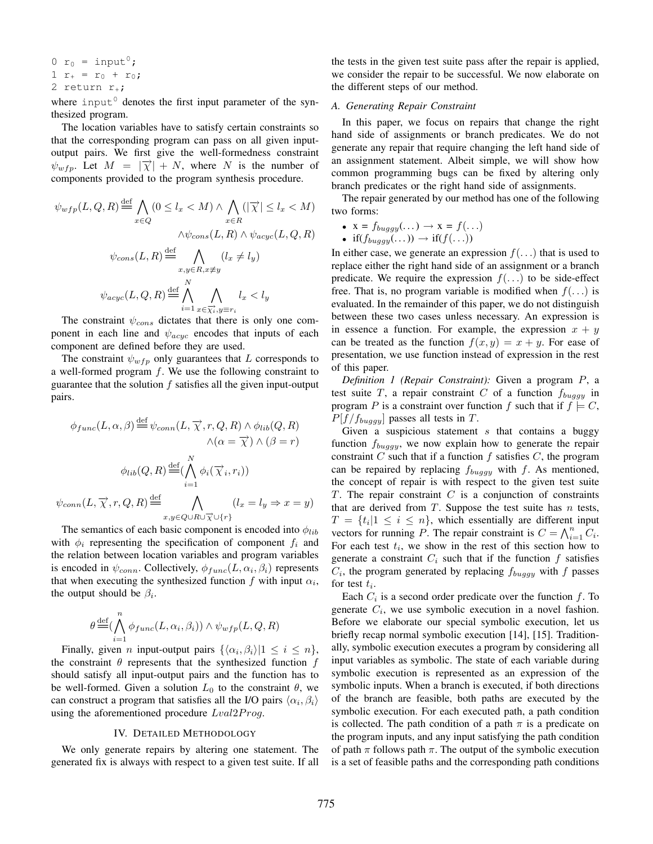$$
0 r_0 = input^0;
$$
  
\n
$$
1 r_+ = r_0 + r_0;
$$
  
\n
$$
2 return r_+;
$$

where input<sup> $0$ </sup> denotes the first input parameter of the synthesized program.

The location variables have to satisfy certain constraints so that the corresponding program can pass on all given inputoutput pairs. We first give the well-formedness constraint  $\psi_{wfp}$ . Let  $M = |\vec{\chi}| + N$ , where N is the number of components provided to the program synthesis procedure.

$$
\psi_{wfp}(L, Q, R) \stackrel{\text{def}}{=} \bigwedge_{x \in Q} (0 \le l_x < M) \land \bigwedge_{x \in R} (|\overrightarrow{\chi}| \le l_x < M)
$$
\n
$$
\wedge \psi_{cons}(L, R) \land \psi_{acyc}(L, Q, R)
$$
\n
$$
\psi_{cons}(L, R) \stackrel{\text{def}}{=} \bigwedge_{x, y \in R, x \ne y} (l_x \ne l_y)
$$
\n
$$
\psi_{acyc}(L, Q, R) \stackrel{\text{def}}{=} \bigwedge_{i=1}^N \bigwedge_{x \in \overrightarrow{\chi_i}, y \equiv r_i} l_x < l_y
$$

The constraint  $\psi_{cons}$  dictates that there is only one component in each line and  $\psi_{acyc}$  encodes that inputs of each component are defined before they are used.

The constraint  $\psi_{wfn}$  only guarantees that L corresponds to a well-formed program  $f$ . We use the following constraint to guarantee that the solution  $f$  satisfies all the given input-output pairs.

$$
\phi_{func}(L, \alpha, \beta) \stackrel{\text{def}}{=} \psi_{conn}(L, \overrightarrow{\chi}, r, Q, R) \land \phi_{lib}(Q, R)
$$

$$
\land (\alpha = \overrightarrow{\chi}) \land (\beta = r)
$$

$$
\phi_{lib}(Q, R) \stackrel{\text{def}}{=} (\bigwedge_{i=1}^{N} \phi_i(\overrightarrow{\chi}_i, r_i))
$$

$$
\psi_{conn}(L, \overrightarrow{\chi}, r, Q, R) \stackrel{\text{def}}{=} \bigwedge_{x, y \in Q \cup R \cup \overrightarrow{\chi} \cup \{r\}}
$$

$$
(l_x = l_y \Rightarrow x = y)
$$

The semantics of each basic component is encoded into  $\phi_{lib}$ with  $\phi_i$  representing the specification of component  $f_i$  and the relation between location variables and program variables is encoded in  $\psi_{conn}$ . Collectively,  $\phi_{func}(L, \alpha_i, \beta_i)$  represents that when executing the synthesized function  $f$  with input  $\alpha_i$ , the output should be  $\beta_i$ .

$$
\theta \stackrel{\text{def}}{=} (\bigwedge_{i=1}^{n} \phi_{func}(L, \alpha_i, \beta_i)) \wedge \psi_{wfp}(L, Q, R)
$$

Finally, given *n* input-output pairs  $\{\langle \alpha_i, \beta_i \rangle | 1 \le i \le n\},\$ the constraint  $\theta$  represents that the synthesized function  $f$ should satisfy all input-output pairs and the function has to be well-formed. Given a solution  $L_0$  to the constraint  $\theta$ , we can construct a program that satisfies all the I/O pairs  $\langle \alpha_i, \beta_i \rangle$ using the aforementioned procedure  $Lval2Prog$ .

## IV. DETAILED METHODOLOGY

We only generate repairs by altering one statement. The generated fix is always with respect to a given test suite. If all

the tests in the given test suite pass after the repair is applied, we consider the repair to be successful. We now elaborate on the different steps of our method.

### *A. Generating Repair Constraint*

In this paper, we focus on repairs that change the right hand side of assignments or branch predicates. We do not generate any repair that require changing the left hand side of an assignment statement. Albeit simple, we will show how common programming bugs can be fixed by altering only branch predicates or the right hand side of assignments.

The repair generated by our method has one of the following two forms:

• 
$$
x = f_{buggy}(\dots) \rightarrow x = f(\dots)
$$

• 
$$
\text{if}(f_{buggy}(\ldots)) \rightarrow \text{if}(f(\ldots))
$$

In either case, we generate an expression  $f(\ldots)$  that is used to replace either the right hand side of an assignment or a branch predicate. We require the expression  $f(\ldots)$  to be side-effect free. That is, no program variable is modified when  $f(\ldots)$  is evaluated. In the remainder of this paper, we do not distinguish between these two cases unless necessary. An expression is in essence a function. For example, the expression  $x + y$ can be treated as the function  $f(x, y) = x + y$ . For ease of presentation, we use function instead of expression in the rest of this paper.

*Definition 1 (Repair Constraint):* Given a program P, a test suite T, a repair constraint C of a function  $f_{buggy}$  in program P is a constraint over function f such that if  $f \models C$ ,  $P[f/f_{buggy}]$  passes all tests in T.

Given a suspicious statement  $s$  that contains a buggy function  $f_{buggy}$ , we now explain how to generate the repair constraint  $C$  such that if a function  $f$  satisfies  $C$ , the program can be repaired by replacing  $f_{buggy}$  with f. As mentioned, the concept of repair is with respect to the given test suite  $T$ . The repair constraint  $C$  is a conjunction of constraints that are derived from  $T$ . Suppose the test suite has  $n$  tests,  $T = \{t_i | 1 \leq i \leq n\}$ , which essentially are different input vectors for running P. The repair constraint is  $C = \bigwedge_{i=1}^{n} C_i$ . For each test  $t_i$ , we show in the rest of this section how to generate a constraint  $C_i$  such that if the function f satisfies  $C_i$ , the program generated by replacing  $f_{buggy}$  with f passes for test  $t_i$ .

Each  $C_i$  is a second order predicate over the function f. To generate  $C_i$ , we use symbolic execution in a novel fashion. Before we elaborate our special symbolic execution, let us briefly recap normal symbolic execution [14], [15]. Traditionally, symbolic execution executes a program by considering all input variables as symbolic. The state of each variable during symbolic execution is represented as an expression of the symbolic inputs. When a branch is executed, if both directions of the branch are feasible, both paths are executed by the symbolic execution. For each executed path, a path condition is collected. The path condition of a path  $\pi$  is a predicate on the program inputs, and any input satisfying the path condition of path  $\pi$  follows path  $\pi$ . The output of the symbolic execution is a set of feasible paths and the corresponding path conditions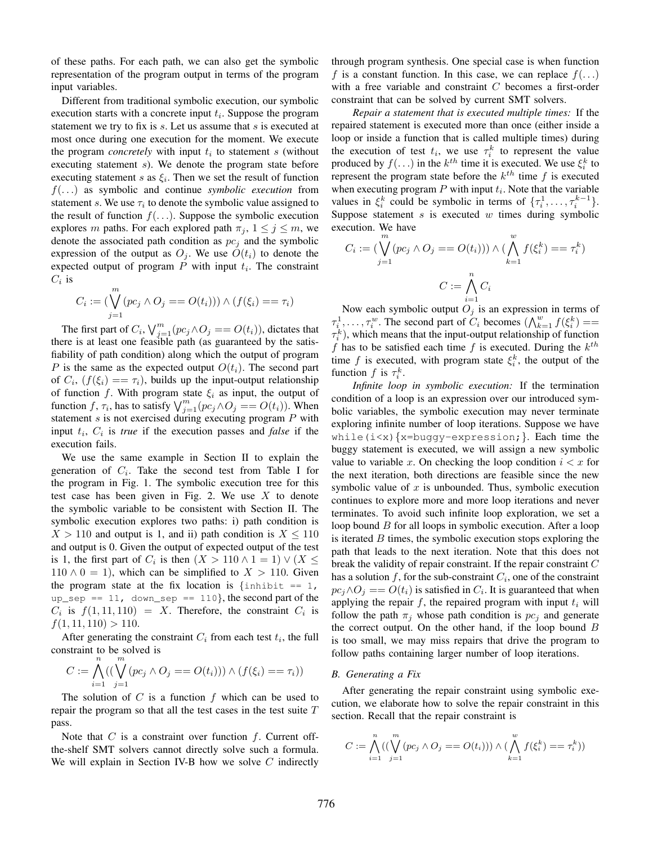of these paths. For each path, we can also get the symbolic representation of the program output in terms of the program input variables.

Different from traditional symbolic execution, our symbolic execution starts with a concrete input  $t_i$ . Suppose the program statement we try to fix is s. Let us assume that s is executed at most once during one execution for the moment. We execute the program *concretely* with input  $t_i$  to statement  $s$  (without executing statement s). We denote the program state before executing statement s as  $\xi_i$ . Then we set the result of function f(. . .) as symbolic and continue *symbolic execution* from statement s. We use  $\tau_i$  to denote the symbolic value assigned to the result of function  $f(\ldots)$ . Suppose the symbolic execution explores m paths. For each explored path  $\pi_j$ ,  $1 \leq j \leq m$ , we denote the associated path condition as  $pc<sub>i</sub>$  and the symbolic expression of the output as  $O_j$ . We use  $O(t_i)$  to denote the expected output of program  $P$  with input  $t_i$ . The constraint  $C_i$  is

$$
C_i := \left(\bigvee_{j=1}^m (pc_j \land O_j == O(t_i))\right) \land \left(f(\xi_i) == \tau_i\right)
$$

The first part of  $C_i$ ,  $\bigvee_{j=1}^m (pc_j \wedge O_j == O(t_i))$ , dictates that there is at least one feasible path (as guaranteed by the satisfiability of path condition) along which the output of program P is the same as the expected output  $O(t_i)$ . The second part of  $C_i$ ,  $(f(\xi_i) == \tau_i)$ , builds up the input-output relationship of function f. With program state  $\xi_i$  as input, the output of function f,  $\tau_i$ , has to satisfy  $\bigvee_{j=1}^m (pc_j \wedge O_j == O(t_i)).$  When statement  $s$  is not exercised during executing program  $P$  with input  $t_i$ ,  $C_i$  is *true* if the execution passes and *false* if the execution fails.

We use the same example in Section II to explain the generation of  $C_i$ . Take the second test from Table I for the program in Fig. 1. The symbolic execution tree for this test case has been given in Fig. 2. We use  $X$  to denote the symbolic variable to be consistent with Section II. The symbolic execution explores two paths: i) path condition is  $X > 110$  and output is 1, and ii) path condition is  $X \le 110$ and output is 0. Given the output of expected output of the test is 1, the first part of  $C_i$  is then  $(X > 110 \land 1 = 1) \lor (X \leq 111)$  $110 \wedge 0 = 1$ , which can be simplified to  $X > 110$ . Given the program state at the fix location is  $\{\text{inhibit} == 1,$  $up\_sep == 11$ , down $\_sep == 110$ , the second part of the  $C_i$  is  $f(1, 11, 110) = X$ . Therefore, the constraint  $C_i$  is  $f(1, 11, 110) > 110.$ 

After generating the constraint  $C_i$  from each test  $t_i$ , the full constraint to be solved is

$$
C := \bigwedge_{i=1}^{n} ((\bigvee_{j=1}^{m} (pc_j \land O_j == O(t_i))) \land (f(\xi_i) == \tau_i))
$$

The solution of  $C$  is a function  $f$  which can be used to repair the program so that all the test cases in the test suite  $T$ pass.

Note that  $C$  is a constraint over function  $f$ . Current offthe-shelf SMT solvers cannot directly solve such a formula. We will explain in Section IV-B how we solve  $C$  indirectly through program synthesis. One special case is when function f is a constant function. In this case, we can replace  $f(\ldots)$ with a free variable and constraint C becomes a first-order constraint that can be solved by current SMT solvers.

*Repair a statement that is executed multiple times:* If the repaired statement is executed more than once (either inside a loop or inside a function that is called multiple times) during the execution of test  $t_i$ , we use  $\tau_i^k$  to represent the value produced by  $f(\ldots)$  in the  $k^{th}$  time it is executed. We use  $\xi_i^k$  to represent the program state before the  $k^{th}$  time f is executed when executing program  $P$  with input  $t_i$ . Note that the variable values in  $\xi_i^k$  could be symbolic in terms of  $\{\tau_i^1, \ldots, \tau_i^{k-1}\}.$ Suppose statement  $s$  is executed  $w$  times during symbolic execution. We have

$$
C_i := \left(\bigvee_{j=1}^m (pc_j \land O_j == O(t_i))\right) \land \left(\bigwedge_{k=1}^w f(\xi_i^k) == \tau_i^k\right)
$$

$$
C := \bigwedge_{i=1}^n C_i
$$

Now each symbolic output  $O_j$  is an expression in terms of  $\tau_{i_1}^1, \ldots, \tau_{i_v}^w$ . The second part of  $C_i$  becomes  $(\bigwedge_{k=1}^w f(\xi_i^k))$  ==  $\tau_i^k$ ), which means that the input-output relationship of function f has to be satisfied each time f is executed. During the  $k^{th}$ time f is executed, with program state  $\xi_i^k$ , the output of the function f is  $\tau_i^k$ .

*Infinite loop in symbolic execution:* If the termination condition of a loop is an expression over our introduced symbolic variables, the symbolic execution may never terminate exploring infinite number of loop iterations. Suppose we have while( $i < x$ ) {x=buggy-expression; }. Each time the buggy statement is executed, we will assign a new symbolic value to variable x. On checking the loop condition  $i < x$  for the next iteration, both directions are feasible since the new symbolic value of  $x$  is unbounded. Thus, symbolic execution continues to explore more and more loop iterations and never terminates. To avoid such infinite loop exploration, we set a loop bound B for all loops in symbolic execution. After a loop is iterated  $B$  times, the symbolic execution stops exploring the path that leads to the next iteration. Note that this does not break the validity of repair constraint. If the repair constraint C has a solution f, for the sub-constraint  $C_i$ , one of the constraint  $pc_j \wedge O_j == O(t_i)$  is satisfied in  $C_i$ . It is guaranteed that when applying the repair  $f$ , the repaired program with input  $t_i$  will follow the path  $\pi_i$  whose path condition is  $pc_i$  and generate the correct output. On the other hand, if the loop bound  $B$ is too small, we may miss repairs that drive the program to follow paths containing larger number of loop iterations.

#### *B. Generating a Fix*

After generating the repair constraint using symbolic execution, we elaborate how to solve the repair constraint in this section. Recall that the repair constraint is

$$
C := \bigwedge_{i=1}^{n} ((\bigvee_{j=1}^{m} (pc_j \land O_j == O(t_i))) \land (\bigwedge_{k=1}^{w} f(\xi_i^k) == \tau_i^k))
$$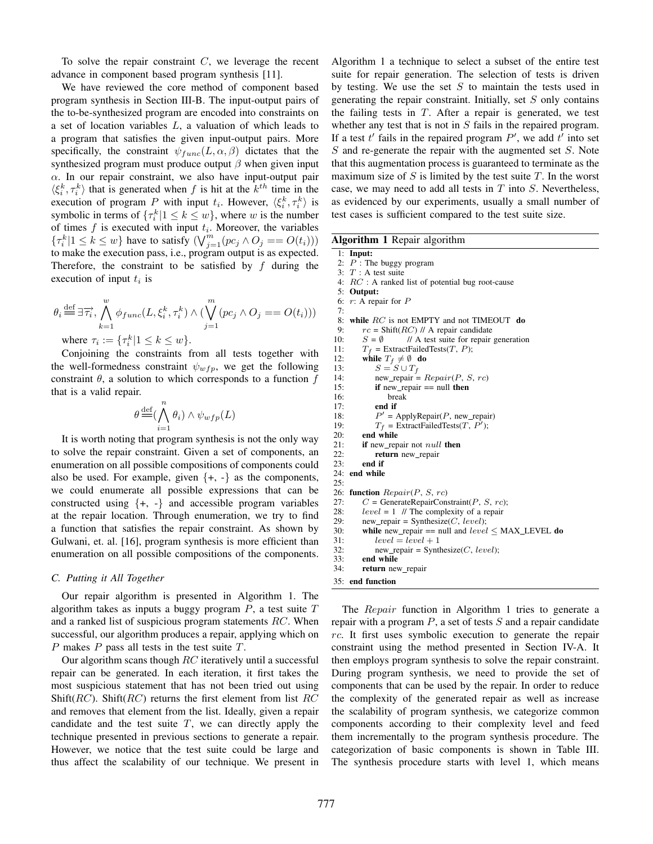To solve the repair constraint  $C$ , we leverage the recent advance in component based program synthesis [11].

We have reviewed the core method of component based program synthesis in Section III-B. The input-output pairs of the to-be-synthesized program are encoded into constraints on a set of location variables L, a valuation of which leads to a program that satisfies the given input-output pairs. More specifically, the constraint  $\psi_{func}(L, \alpha, \beta)$  dictates that the synthesized program must produce output  $\beta$  when given input  $\alpha$ . In our repair constraint, we also have input-output pair  $\langle \xi_i^k, \tau_i^k \rangle$  that is generated when f is hit at the  $k^{th}$  time in the execution of program P with input  $t_i$ . However,  $\langle \xi_i^k, \tau_i^k \rangle$  is symbolic in terms of  $\{\tau_i^k | 1 \le k \le w\}$ , where w is the number of times  $f$  is executed with input  $t_i$ . Moreover, the variables  $\{\tau_i^k | 1 \leq k \leq w\}$  have to satisfy  $(\bigvee_{j=1}^m (pc_j \wedge O_j == O(t_i)))$ to make the execution pass, i.e., program output is as expected. Therefore, the constraint to be satisfied by  $f$  during the execution of input  $t_i$  is

$$
\theta_i \stackrel{\text{def}}{=} \exists \overrightarrow{\tau_i}, \bigwedge_{k=1}^w \phi_{func}(L, \xi_i^k, \tau_i^k) \land (\bigvee_{j=1}^m (pc_j \land O_j == O(t_i)))
$$
  
where  $\tau_i := \{ \tau_i^k | 1 \le k \le m \}$ 

where  $\tau_i := {\tau_i^k | 1 \le k \le w}.$ 

Conjoining the constraints from all tests together with the well-formedness constraint  $\psi_{wfp}$ , we get the following constraint  $\theta$ , a solution to which corresponds to a function  $f$ that is a valid repair.

$$
\theta \stackrel{\text{def}}{=} (\bigwedge_{i=1}^{n} \theta_{i}) \wedge \psi_{wfp}(L)
$$

It is worth noting that program synthesis is not the only way to solve the repair constraint. Given a set of components, an enumeration on all possible compositions of components could also be used. For example, given  $\{+, -\}$  as the components, we could enumerate all possible expressions that can be constructed using  $\{+, -\}$  and accessible program variables at the repair location. Through enumeration, we try to find a function that satisfies the repair constraint. As shown by Gulwani, et. al. [16], program synthesis is more efficient than enumeration on all possible compositions of the components.

## *C. Putting it All Together*

Our repair algorithm is presented in Algorithm 1. The algorithm takes as inputs a buggy program  $P$ , a test suite  $T$ and a ranked list of suspicious program statements RC. When successful, our algorithm produces a repair, applying which on P makes P pass all tests in the test suite  $T$ .

Our algorithm scans though RC iteratively until a successful repair can be generated. In each iteration, it first takes the most suspicious statement that has not been tried out using Shift( $RC$ ). Shift( $RC$ ) returns the first element from list  $RC$ and removes that element from the list. Ideally, given a repair candidate and the test suite  $T$ , we can directly apply the technique presented in previous sections to generate a repair. However, we notice that the test suite could be large and thus affect the scalability of our technique. We present in

Algorithm 1 a technique to select a subset of the entire test suite for repair generation. The selection of tests is driven by testing. We use the set  $S$  to maintain the tests used in generating the repair constraint. Initially, set  $S$  only contains the failing tests in  $T$ . After a repair is generated, we test whether any test that is not in S fails in the repaired program. If a test  $t'$  fails in the repaired program  $P'$ , we add  $t'$  into set  $S$  and re-generate the repair with the augmented set  $S$ . Note that this augmentation process is guaranteed to terminate as the maximum size of  $S$  is limited by the test suite  $T$ . In the worst case, we may need to add all tests in  $T$  into  $S$ . Nevertheless, as evidenced by our experiments, usually a small number of test cases is sufficient compared to the test suite size.

Algorithm 1 Repair algorithm

1: Input: 2:  $P$  : The buggy program

- 3:  $T: A$  test suite
- 4: RC : A ranked list of potential bug root-cause

5: Output:

6: r: A repair for P

- 7: while  $RC$  is not EMPTY and not TIMEOUT  $do$
- 9:  $rc = \text{Shift}(RC)$  // A repair candidate 10:  $S = \emptyset$  // A test suite for repair generation 11:  $T_f$  = ExtractFailedTests(T, P);
	-

12: while  $T_f \neq \emptyset$  do<br>13:  $S = S \cup T_f$ 13:  $S = S \cup T_f$ <br>14: new repair =

33: **end while**<br>34: **return** nev

return new repair

 $new\_ repair = Repair(P, S, rc)$ 15: **if** new\_repair  $==$  null **then** 16: **break** 16: break 17: end if  $18:$  $P'$  = ApplyRepair(P, new\_repair) 19:  $T_f = \text{ExtractFailedTests}(T, \vec{P'})$ ; 20: **end while**<br>21: **if** new\_rep if new\_repair not  $null$  then 22: return new\_repair<br>23: end if end if 24: end while 25: 26: function  $Repair(P, S, rc)$ 27:  $C = \text{GenerateRepairConstraint}(P, S, rc);$ 28: *level* = 1 // The complexity of a repair 29: new repair = Synthesize(*C*, *level*); 29: new\_repair = Synthesize(*C*, *level*);<br>30: **while** new repair == null and *level* while new\_repair == null and  $level \leq MAX\_LEVEL$  do 31:  $level = level + 1$ 32: new\_repair = Synthesize( $C$ , level);

35: end function The *Repair* function in Algorithm 1 tries to generate a repair with a program  $P$ , a set of tests  $S$  and a repair candidate rc. It first uses symbolic execution to generate the repair constraint using the method presented in Section IV-A. It then employs program synthesis to solve the repair constraint. During program synthesis, we need to provide the set of components that can be used by the repair. In order to reduce the complexity of the generated repair as well as increase the scalability of program synthesis, we categorize common components according to their complexity level and feed them incrementally to the program synthesis procedure. The categorization of basic components is shown in Table III. The synthesis procedure starts with level 1, which means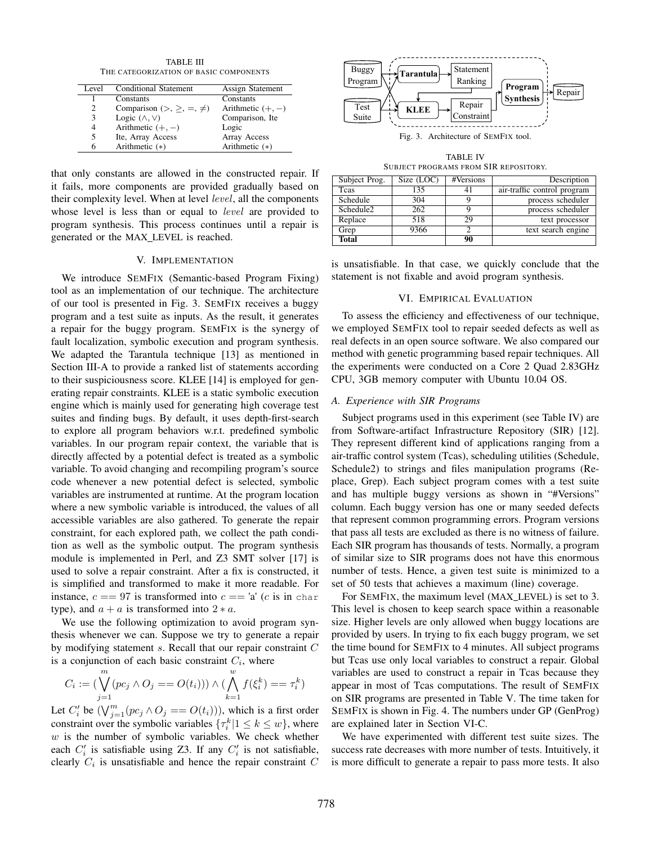TABLE III THE CATEGORIZATION OF BASIC COMPONENTS

| Level          | <b>Conditional Statement</b>           | Assign Statement    |
|----------------|----------------------------------------|---------------------|
|                | Constants                              | Constants           |
| $\mathfrak{D}$ | Comparison (>, $\geq$ , $=$ , $\neq$ ) | Arithmetic $(+, -)$ |
| 3              | Logic $(\wedge, \vee)$                 | Comparison, Ite     |
|                | Arithmetic $(+, -)$                    | Logic               |
| 5              | Ite, Array Access                      | Array Access        |
| 6              | Arithmetic $(*)$                       | Arithmetic (*)      |

that only constants are allowed in the constructed repair. If it fails, more components are provided gradually based on their complexity level. When at level *level*, all the components whose level is less than or equal to level are provided to program synthesis. This process continues until a repair is generated or the MAX LEVEL is reached.

#### V. IMPLEMENTATION

We introduce SEMFIX (Semantic-based Program Fixing) tool as an implementation of our technique. The architecture of our tool is presented in Fig. 3. SEMFIX receives a buggy program and a test suite as inputs. As the result, it generates a repair for the buggy program. SEMFIX is the synergy of fault localization, symbolic execution and program synthesis. We adapted the Tarantula technique [13] as mentioned in Section III-A to provide a ranked list of statements according to their suspiciousness score. KLEE [14] is employed for generating repair constraints. KLEE is a static symbolic execution engine which is mainly used for generating high coverage test suites and finding bugs. By default, it uses depth-first-search to explore all program behaviors w.r.t. predefined symbolic variables. In our program repair context, the variable that is directly affected by a potential defect is treated as a symbolic variable. To avoid changing and recompiling program's source code whenever a new potential defect is selected, symbolic variables are instrumented at runtime. At the program location where a new symbolic variable is introduced, the values of all accessible variables are also gathered. To generate the repair constraint, for each explored path, we collect the path condition as well as the symbolic output. The program synthesis module is implemented in Perl, and Z3 SMT solver [17] is used to solve a repair constraint. After a fix is constructed, it is simplified and transformed to make it more readable. For instance,  $c == 97$  is transformed into  $c == 'a'$  (c is in char type), and  $a + a$  is transformed into  $2 * a$ .

We use the following optimization to avoid program synthesis whenever we can. Suppose we try to generate a repair by modifying statement s. Recall that our repair constraint C is a conjunction of each basic constraint  $C_i$ , where

$$
C_i := (\bigvee_{j=1}^{m} (pc_j \land O_j == O(t_i))) \land (\bigwedge_{k=1}^{w} f(\xi_i^k) == \tau_i^k)
$$

Let  $C_i'$  be  $(\bigvee_{j=1}^m (pc_j \wedge O_j == O(t_i))),$  which is a first order constraint over the symbolic variables  $\{\tau_i^k | 1 \le k \le w\}$ , where  $w$  is the number of symbolic variables. We check whether each  $C_i'$  is satisfiable using Z3. If any  $C_i'$  is not satisfiable, clearly  $C_i$  is unsatisfiable and hence the repair constraint  $C$ 



TABLE IV SUBJECT PROGRAMS FROM SIR REPOSITORY.

| Subject Prog.         | Size (LOC) | #Versions | Description                 |
|-----------------------|------------|-----------|-----------------------------|
| <b>T</b> cas          | 135        |           | air-traffic control program |
| Schedule              | 304        |           | process scheduler           |
| Schedule <sub>2</sub> | 262        |           | process scheduler           |
| Replace               | 518        | 29        | text processor              |
| Grep                  | 9366       |           | text search engine          |
| <b>Total</b>          |            | 90        |                             |

is unsatisfiable. In that case, we quickly conclude that the statement is not fixable and avoid program synthesis.

## VI. EMPIRICAL EVALUATION

To assess the efficiency and effectiveness of our technique, we employed SEMFIX tool to repair seeded defects as well as real defects in an open source software. We also compared our method with genetic programming based repair techniques. All the experiments were conducted on a Core 2 Quad 2.83GHz CPU, 3GB memory computer with Ubuntu 10.04 OS.

#### *A. Experience with SIR Programs*

Subject programs used in this experiment (see Table IV) are from Software-artifact Infrastructure Repository (SIR) [12]. They represent different kind of applications ranging from a air-traffic control system (Tcas), scheduling utilities (Schedule, Schedule2) to strings and files manipulation programs (Replace, Grep). Each subject program comes with a test suite and has multiple buggy versions as shown in "#Versions" column. Each buggy version has one or many seeded defects that represent common programming errors. Program versions that pass all tests are excluded as there is no witness of failure. Each SIR program has thousands of tests. Normally, a program of similar size to SIR programs does not have this enormous number of tests. Hence, a given test suite is minimized to a set of 50 tests that achieves a maximum (line) coverage.

For SEMFIX, the maximum level (MAX LEVEL) is set to 3. This level is chosen to keep search space within a reasonable size. Higher levels are only allowed when buggy locations are provided by users. In trying to fix each buggy program, we set the time bound for SEMFIX to 4 minutes. All subject programs but Tcas use only local variables to construct a repair. Global variables are used to construct a repair in Tcas because they appear in most of Tcas computations. The result of SEMFIX on SIR programs are presented in Table V. The time taken for SEMFIX is shown in Fig. 4. The numbers under GP (GenProg) are explained later in Section VI-C.

We have experimented with different test suite sizes. The success rate decreases with more number of tests. Intuitively, it is more difficult to generate a repair to pass more tests. It also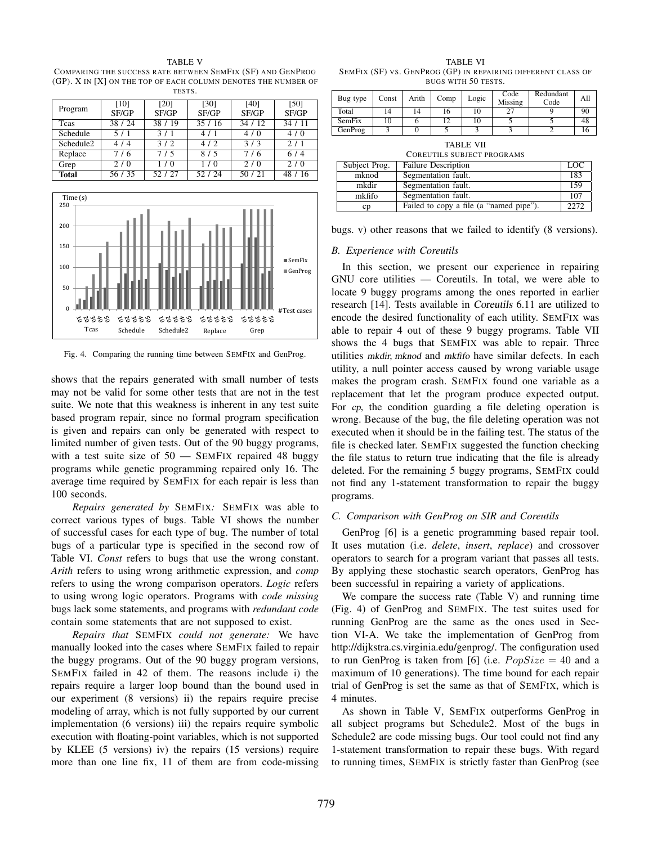TABLE V COMPARING THE SUCCESS RATE BETWEEN SEMFIX (SF) AND GENPROG (GP). X IN [X] ON THE TOP OF EACH COLUMN DENOTES THE NUMBER OF TESTS.

| Program               | [10]    | [20]  | [30]  | [40]  | [50]    |
|-----------------------|---------|-------|-------|-------|---------|
|                       | SF/GP   | SF/GP | SF/GP | SF/GP | SF/GP   |
| <b>T</b> cas          | 38 / 24 | 38/19 | 35/16 | 34/12 | 34/11   |
| Schedule              | 5/1     | 3/1   | 4/1   | 4/0   | 4/0     |
| Schedule <sub>2</sub> | 4/4     | 3/2   | 4/2   | 3/3   | 2/1     |
| Replace               | 7/6     | 7/5   | 8/5   | 7/6   | 6/4     |
| Grep                  | 2/0     | 1/0   | 1/0   | 2/0   | 2/0     |
| <b>Total</b>          | 56 / 35 | 52/27 | 52/24 | 50/21 | 48 / 16 |



Fig. 4. Comparing the running time between SEMFIX and GenProg.

shows that the repairs generated with small number of tests may not be valid for some other tests that are not in the test suite. We note that this weakness is inherent in any test suite based program repair, since no formal program specification is given and repairs can only be generated with respect to limited number of given tests. Out of the 90 buggy programs, with a test suite size of 50 — SEMFIX repaired 48 buggy programs while genetic programming repaired only 16. The average time required by SEMFIX for each repair is less than 100 seconds.

*Repairs generated by* SEMFIX*:* SEMFIX was able to correct various types of bugs. Table VI shows the number of successful cases for each type of bug. The number of total bugs of a particular type is specified in the second row of Table VI. *Const* refers to bugs that use the wrong constant. *Arith* refers to using wrong arithmetic expression, and *comp* refers to using the wrong comparison operators. *Logic* refers to using wrong logic operators. Programs with *code missing* bugs lack some statements, and programs with *redundant code* contain some statements that are not supposed to exist.

*Repairs that* SEMFIX *could not generate:* We have manually looked into the cases where SEMFIX failed to repair the buggy programs. Out of the 90 buggy program versions, SEMFIX failed in 42 of them. The reasons include i) the repairs require a larger loop bound than the bound used in our experiment (8 versions) ii) the repairs require precise modeling of array, which is not fully supported by our current implementation (6 versions) iii) the repairs require symbolic execution with floating-point variables, which is not supported by KLEE (5 versions) iv) the repairs (15 versions) require more than one line fix, 11 of them are from code-missing

TABLE VI SEMFIX (SF) VS. GENPROG (GP) IN REPAIRING DIFFERENT CLASS OF BUGS WITH 50 TESTS.

| Bug type | Const | Arith | Comp | Logic | Code<br>Missing | Redundant<br>Code | All |
|----------|-------|-------|------|-------|-----------------|-------------------|-----|
| Total    | 14    | 14    | 16   | 10    | 27              |                   | 90  |
| SemFix   | 10    |       |      | 10    |                 |                   | 48  |
| GenProg  |       |       |      |       |                 |                   | 16  |
|          |       |       |      |       |                 |                   |     |

| TA BLE | V |  |
|--------|---|--|
|        |   |  |

|               | <b>COREUTILS SUBJECT PROGRAMS</b>       |      |
|---------------|-----------------------------------------|------|
| Subject Prog. | <b>Failure Description</b>              | LOC  |
| mknod         | Segmentation fault.                     | 183  |
| mkdir         | Segmentation fault.                     | 159  |
| mkfifo        | Segmentation fault.                     | 107  |
| cp            | Failed to copy a file (a "named pipe"). | 2272 |

| bugs. v) other reasons that we failed to identify (8 versions). |  |  |  |  |  |  |  |
|-----------------------------------------------------------------|--|--|--|--|--|--|--|
|-----------------------------------------------------------------|--|--|--|--|--|--|--|

## *B. Experience with Coreutils*

In this section, we present our experience in repairing GNU core utilities — Coreutils. In total, we were able to locate 9 buggy programs among the ones reported in earlier research [14]. Tests available in Coreutils 6.11 are utilized to encode the desired functionality of each utility. SEMFIX was able to repair 4 out of these 9 buggy programs. Table VII shows the 4 bugs that SEMFIX was able to repair. Three utilities mkdir, mknod and mkfifo have similar defects. In each utility, a null pointer access caused by wrong variable usage makes the program crash. SEMFIX found one variable as a replacement that let the program produce expected output. For cp, the condition guarding a file deleting operation is wrong. Because of the bug, the file deleting operation was not executed when it should be in the failing test. The status of the file is checked later. SEMFIX suggested the function checking the file status to return true indicating that the file is already deleted. For the remaining 5 buggy programs, SEMFIX could not find any 1-statement transformation to repair the buggy programs.

# *C. Comparison with GenProg on SIR and Coreutils*

GenProg [6] is a genetic programming based repair tool. It uses mutation (i.e. *delete*, *insert*, *replace*) and crossover operators to search for a program variant that passes all tests. By applying these stochastic search operators, GenProg has been successful in repairing a variety of applications.

We compare the success rate (Table V) and running time (Fig. 4) of GenProg and SEMFIX. The test suites used for running GenProg are the same as the ones used in Section VI-A. We take the implementation of GenProg from http://dijkstra.cs.virginia.edu/genprog/. The configuration used to run GenProg is taken from [6] (i.e.  $PopSize = 40$  and a maximum of 10 generations). The time bound for each repair trial of GenProg is set the same as that of SEMFIX, which is 4 minutes.

As shown in Table V, SEMFIX outperforms GenProg in all subject programs but Schedule2. Most of the bugs in Schedule2 are code missing bugs. Our tool could not find any 1-statement transformation to repair these bugs. With regard to running times, SEMFIX is strictly faster than GenProg (see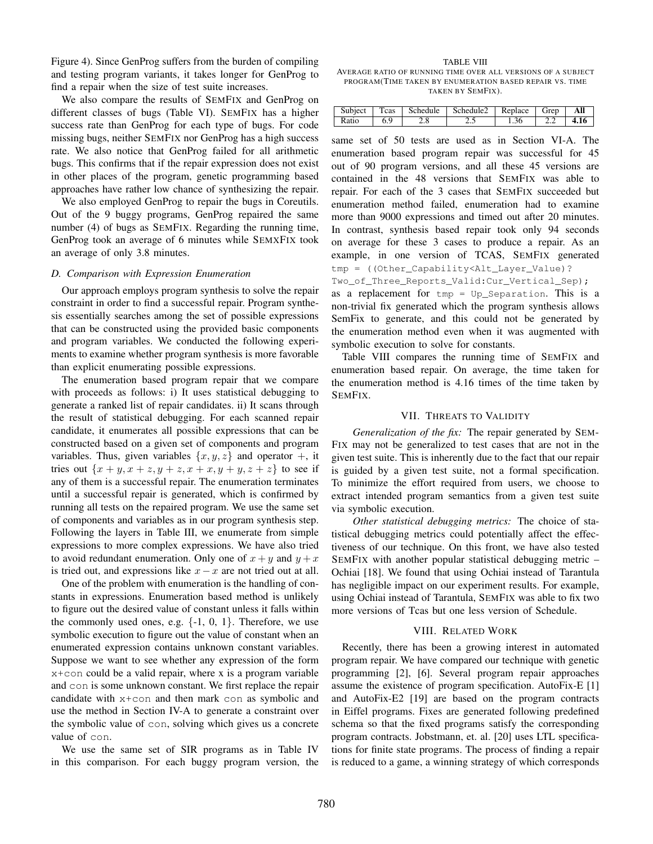Figure 4). Since GenProg suffers from the burden of compiling and testing program variants, it takes longer for GenProg to find a repair when the size of test suite increases.

We also compare the results of SEMFIX and GenProg on different classes of bugs (Table VI). SEMFIX has a higher success rate than GenProg for each type of bugs. For code missing bugs, neither SEMFIX nor GenProg has a high success rate. We also notice that GenProg failed for all arithmetic bugs. This confirms that if the repair expression does not exist in other places of the program, genetic programming based approaches have rather low chance of synthesizing the repair.

We also employed GenProg to repair the bugs in Coreutils. Out of the 9 buggy programs, GenProg repaired the same number (4) of bugs as SEMFIX. Regarding the running time, GenProg took an average of 6 minutes while SEMXFIX took an average of only 3.8 minutes.

## *D. Comparison with Expression Enumeration*

Our approach employs program synthesis to solve the repair constraint in order to find a successful repair. Program synthesis essentially searches among the set of possible expressions that can be constructed using the provided basic components and program variables. We conducted the following experiments to examine whether program synthesis is more favorable than explicit enumerating possible expressions.

The enumeration based program repair that we compare with proceeds as follows: i) It uses statistical debugging to generate a ranked list of repair candidates. ii) It scans through the result of statistical debugging. For each scanned repair candidate, it enumerates all possible expressions that can be constructed based on a given set of components and program variables. Thus, given variables  $\{x, y, z\}$  and operator  $+$ , it tries out  $\{x + y, x + z, y + z, x + x, y + y, z + z\}$  to see if any of them is a successful repair. The enumeration terminates until a successful repair is generated, which is confirmed by running all tests on the repaired program. We use the same set of components and variables as in our program synthesis step. Following the layers in Table III, we enumerate from simple expressions to more complex expressions. We have also tried to avoid redundant enumeration. Only one of  $x + y$  and  $y + x$ is tried out, and expressions like  $x - x$  are not tried out at all.

One of the problem with enumeration is the handling of constants in expressions. Enumeration based method is unlikely to figure out the desired value of constant unless it falls within the commonly used ones, e.g.  $\{-1, 0, 1\}$ . Therefore, we use symbolic execution to figure out the value of constant when an enumerated expression contains unknown constant variables. Suppose we want to see whether any expression of the form x+con could be a valid repair, where x is a program variable and con is some unknown constant. We first replace the repair candidate with x+con and then mark con as symbolic and use the method in Section IV-A to generate a constraint over the symbolic value of con, solving which gives us a concrete value of con.

We use the same set of SIR programs as in Table IV in this comparison. For each buggy program version, the

TABLE VIII AVERAGE RATIO OF RUNNING TIME OVER ALL VERSIONS OF A SUBJECT PROGRAM(TIME TAKEN BY ENUMERATION BASED REPAIR VS. TIME TAKEN BY SEMFIX).

| Subject | Teas | Schedule | Schedule <sub>2</sub> | Replace | Grep       | All |
|---------|------|----------|-----------------------|---------|------------|-----|
| Ratio   | 6.9  |          |                       | 1.36    | <u>L.L</u> |     |

same set of 50 tests are used as in Section VI-A. The enumeration based program repair was successful for 45 out of 90 program versions, and all these 45 versions are contained in the 48 versions that SEMFIX was able to repair. For each of the 3 cases that SEMFIX succeeded but enumeration method failed, enumeration had to examine more than 9000 expressions and timed out after 20 minutes. In contrast, synthesis based repair took only 94 seconds on average for these 3 cases to produce a repair. As an example, in one version of TCAS, SEMFIX generated tmp = ((Other\_Capability<Alt\_Layer\_Value)? Two\_of\_Three\_Reports\_Valid:Cur\_Vertical\_Sep);

as a replacement for tmp = Up\_Separation. This is a non-trivial fix generated which the program synthesis allows SemFix to generate, and this could not be generated by the enumeration method even when it was augmented with symbolic execution to solve for constants.

Table VIII compares the running time of SEMFIX and enumeration based repair. On average, the time taken for the enumeration method is 4.16 times of the time taken by SEMFIX.

# VII. THREATS TO VALIDITY

*Generalization of the fix:* The repair generated by SEM-FIX may not be generalized to test cases that are not in the given test suite. This is inherently due to the fact that our repair is guided by a given test suite, not a formal specification. To minimize the effort required from users, we choose to extract intended program semantics from a given test suite via symbolic execution.

*Other statistical debugging metrics:* The choice of statistical debugging metrics could potentially affect the effectiveness of our technique. On this front, we have also tested SEMFIX with another popular statistical debugging metric – Ochiai [18]. We found that using Ochiai instead of Tarantula has negligible impact on our experiment results. For example, using Ochiai instead of Tarantula, SEMFIX was able to fix two more versions of Tcas but one less version of Schedule.

# VIII. RELATED WORK

Recently, there has been a growing interest in automated program repair. We have compared our technique with genetic programming [2], [6]. Several program repair approaches assume the existence of program specification. AutoFix-E [1] and AutoFix-E2 [19] are based on the program contracts in Eiffel programs. Fixes are generated following predefined schema so that the fixed programs satisfy the corresponding program contracts. Jobstmann, et. al. [20] uses LTL specifications for finite state programs. The process of finding a repair is reduced to a game, a winning strategy of which corresponds